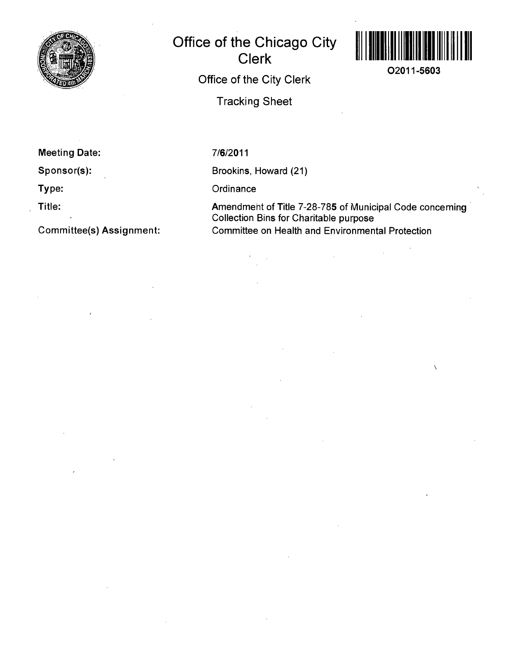

## **Office of the Chicago City Clerk Office of the City Clerk**

**Tracking Sheet** 



**02011-5603** 

**Meeting Date:** 

**Sponsor(s):** 

**Type:** 

**Title:** 

**Committee(s) Assignment:** 

7/6/2011

Brookins, Howard (21)

**Ordinance** 

Amendment of Title 7-28-785 of Municipal Code conceming Collection Bins for Charitable purpose Committee on Health and Environmental Protection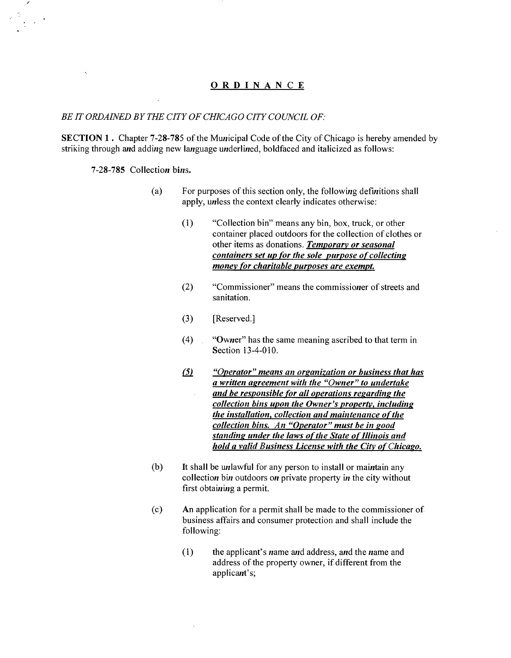## **ORDINANC E**

## *BE IT ORDAINED BY THE CITY OF CHICAGO CITY COUNCIL OF:*

SECTION 1. Chapter 7-28-785 of the Municipal Code of the City of Chicago is hereby amended by striking through and adding new language underlined, boldfaced and italicized as follows:

**7-28-785 Collection bins.** 

- (a) For purposes of this section only, the following definitions shall apply, unless the context clearly indicates otherwise;
	- *(1) "Collection bin" means any bin, box, truck, or other container placed outdoors for the collection of clothes or other items as donations. Temporary or seasonal containers set up for the sole purpose of collectins money for charitable purposes are exempt.*
	- (2) "Commissioner" means the commissioner of streets and sanitation.
	- (3) [Reserved.]
	- (4) "Owner" has the same meaning ascribed to that term in Section 13-4-010.
	- *(5) "Operator" means an orsanization or business that has a written asreement with the "Owner" to undertake and be responsible for all operations resardins the*   $\bar{z}$ *collection bins upon the Owner's property, includins the installation, collection and maintenance of the collection bins. An "Operator" must be in sood standins under the laws of the State of Illinois and hold a valid Business License with the City of Chicago.*
- (b) It shall be unlawful for any person to install or maintain any collection bin outdoors on private property in the city without first obtaining a permit.
- (c) An application for a permit shall be made to the commissioner of business affairs and consumer protection and shall include the following:
	- $(1)$  the applicant's name and address, and the name and address of the property owner, if different from the applicant's;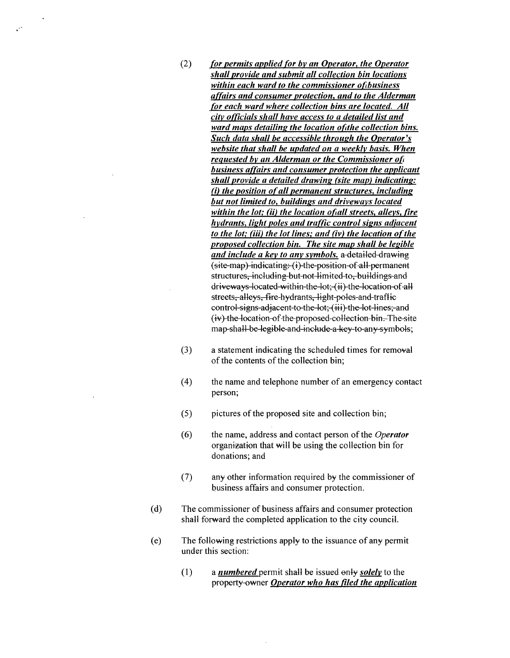(2) for permits applied for by an Operator, the Operator shall provide and submit all collection bin locations within each ward to the commissioner of business affairs and consumer protection, and to the Alderman for each ward where collection bins are located. All city officials shall have access to a detailed list and ward maps detailing the location of the collection bins. Such data shall be accessible through the Operator's website that shall be updated on a weekly basis. When requested by an Alderman or the Commissioner of business affairs and consumer protection the applicant shall provide a detailed drawing (site map) indicating:  $f(i)$  the position of all permanent structures, including but not limited to, buildings and driveways located within the lot; (ii) the location of all streets, alleys, fire hydrants, light poles and traffic control signs adjacent to the lot; (iii) the lot lines; and (iv) the location of the proposed collection bin. The site map shall be legible and include a key to any symbols, a-detailed-drawing (site map) indicating: (i) the position of all permanent structures, including but not limited to, buildings and driveways located within the lot; (ii) the location of all streets, alleys, fire hydrants, light poles and traffic control-signs-adjacent-to-the-lot;-(iii)-the-lot-lines;-and (iv) the location of the proposed collection bin. The site map-shall-be-legible-and-include-a key-to-any-symbols;

 $\ddotsc$ 

- (3) a statement indicating the scheduled times for removal of the contents of the collection bin;
- (4) the name and telephone number of an emergency contact person;
- (5) pictures of the proposed site and collection bin;
- (6) the name, address and contact person of the Operator organization that will be using the collection bin for donations; and
- (7) any other information required by the commissioner of business affairs and consumer protection.
- (d) The commissioner of business affairs and consumer protection shall forward the completed application to the city council.
- (e) The following restrictions apply to the issuance of any permit under this section:
	- (1) a *numbered* permit shall be issued only *solely* to the *property owner Operator who has filed the application*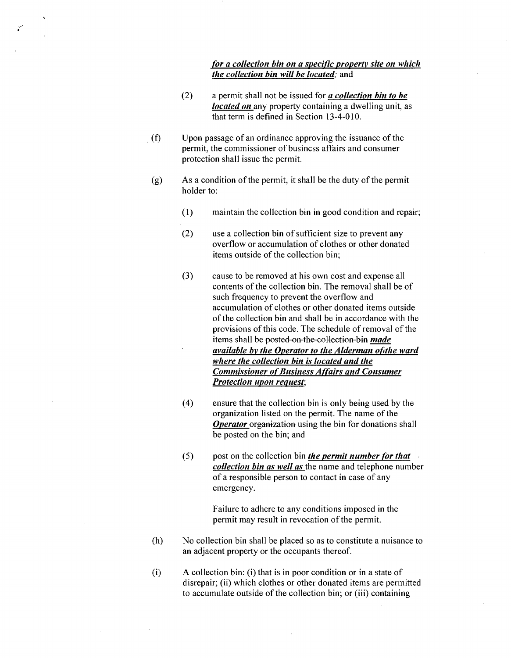## for a collection bin on a specific property site on which the collection bin will be located; and

- (2) a permit shall not be issued for  $a$  collection bin to be *located on* any property containing a dwelling unit, as that term is defined in Section 13-4-010.
- (f) Upon passage of an ordinance approving the issuance of the permit, the commissioner of busincss affairs and consumer protection shall issue the permit.
- (g) As a condition of the permit, it shall be the duty of the permit holder to:
	- (1) maintain the collection bin in good condition and repair;
	- (2) use a collection bin of sufficient size to prevent any overflow or accumulation of clothes or other donated items outside of the collection bin;
	- *(3) cause to be removed at his own cost and expense all contents of the collection bin. The removal shall be of such frequency to prevent the overflow and accumulation of clothes or other donated items outside of the collection bin and shall be in accordance with the provisions of this code. The schedule of removal of the items shall be posted on the collection bin made available by the Operator to the Alderman of the ward where the collection bin is located and the Commissioner of Business Affairs and Consumer Protection upon request;*
	- (4) ensure that the collection bin is only being used by the organization listed on the permit. The name of the **Operator** organization using the bin for donations shall be posted on the bin; and
	- $(5)$  post on the collection bin *the permit number for that* collection bin as well as the name and telephone number of a responsible person to contact in case of any emergency.

Failure to adhere to any conditions imposed in the permit may result in revocation of the permit.

- (h) No collection bin shall be placed so as to constitute a nuisance to an adjacent property or the occupants thereof.
- (i) A collection bin: (i) that is in poor condition or in a state of disrepair; (ii) which clothes or other donated items are permitted to accumulate outside of the collection bin; or (iii) containing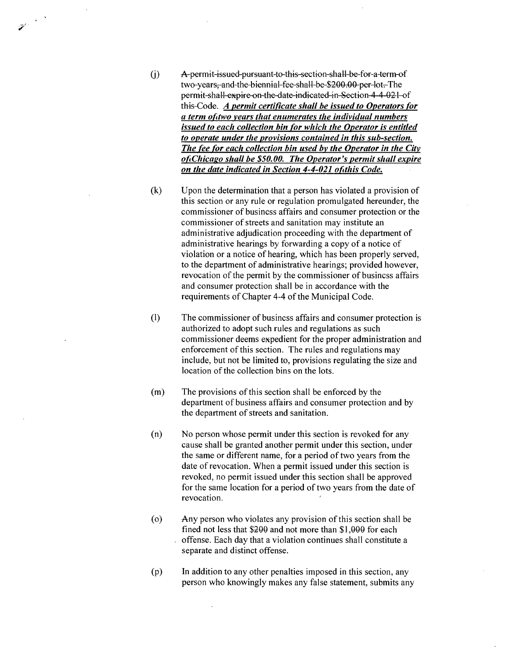- *(j) A permit issued pursuant to this section shall be for a term of two years, and the biennial fee shall be \$200.00 per lot. The permit shall expire on the date indicated in Section 4-4-021 of this Code. A permit certificate shall be issued to Operators for a term of two years that enumerates the individual numbers issued to each collection bin for which the Operator is entitled to operate under the provisions contained in this sub-section. The fee for each collection bin used by the Operator in the City of Chicago shall be \$50.00. The Operator's permit shall expire on the date indicated in Section 4-4-021 of this Code.*
- (k) Upon the determination that a person has violated a provision of this section or any rule or regulation promulgated hereunder, the commissioner of busincss affairs and consumer protection or the commissioner of streets and sanitation may institute an administrative adjudication proceeding with the department of administrative hearings by forwarding a copy of a notice of violation or a notice of hearing, which has been properly served, to the department of administrative hearings; provided however, revocation of the permit by the commissioner of busincss affairs and consumer protection shall be in accordance with the requirements of Chapter 4-4 of the Municipal Code.
- (1) The commissioner of busincss affairs and consumer protection is authorized to adopt such rules and regulations as such commissioner deems expedient for the proper administration and enforcement of this section. The rules and regulations may include, but not be limited to, provisions regulating the size and location of the collection bins on the lots.
- (m) The provisions of this section shall be enforced by the department of business affairs and consumer protection and by the department of streets and sanitation.
- (n) No person whose permit under this section is revoked for any cause shall be granted another permit under this section, under the same or different name, for a period of two years from the date of revocation. When a permit issued under this section is revoked, no permit issued under this section shall be approved for the same location for a period of two years from the date of revocation.
- (o) Any person who violates any provision of this section shall be fined not less that \$200 and not more than \$1,000 for each . offense. Each day that a violation continues shall constitute a separate and distinct offense.
- (p) In addition to any other penalties imposed in this section, any person who knowingly makes any false statement, submits any